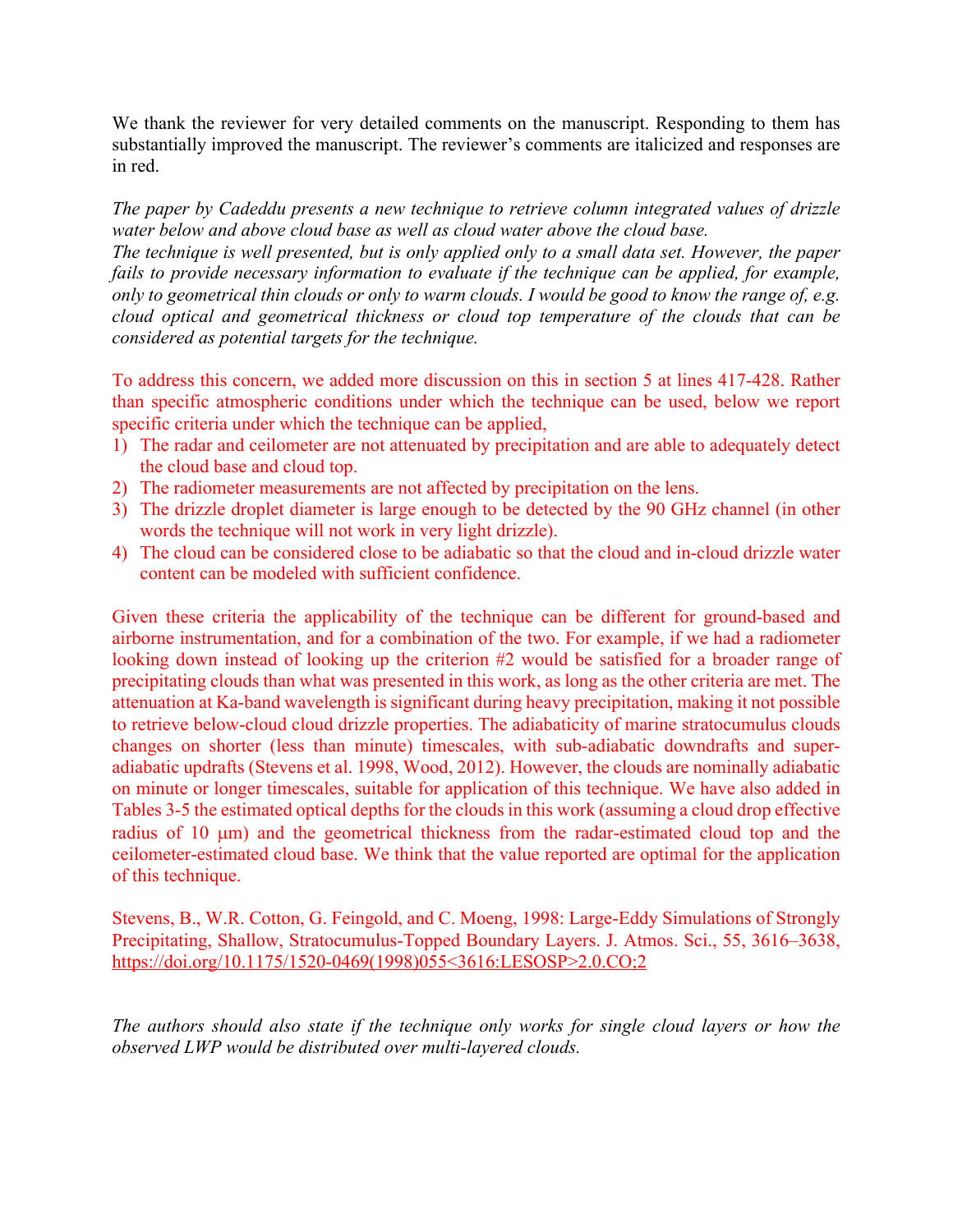We thank the reviewer for very detailed comments on the manuscript. Responding to them has substantially improved the manuscript. The reviewer's comments are italicized and responses are in red.

*The paper by Cadeddu presents a new technique to retrieve column integrated values of drizzle water below and above cloud base as well as cloud water above the cloud base.* 

*The technique is well presented, but is only applied only to a small data set. However, the paper fails to provide necessary information to evaluate if the technique can be applied, for example, only to geometrical thin clouds or only to warm clouds. I would be good to know the range of, e.g. cloud optical and geometrical thickness or cloud top temperature of the clouds that can be considered as potential targets for the technique.* 

To address this concern, we added more discussion on this in section 5 at lines 417-428. Rather than specific atmospheric conditions under which the technique can be used, below we report specific criteria under which the technique can be applied,

- 1) The radar and ceilometer are not attenuated by precipitation and are able to adequately detect the cloud base and cloud top.
- 2) The radiometer measurements are not affected by precipitation on the lens.
- 3) The drizzle droplet diameter is large enough to be detected by the 90 GHz channel (in other words the technique will not work in very light drizzle).
- 4) The cloud can be considered close to be adiabatic so that the cloud and in-cloud drizzle water content can be modeled with sufficient confidence.

Given these criteria the applicability of the technique can be different for ground-based and airborne instrumentation, and for a combination of the two. For example, if we had a radiometer looking down instead of looking up the criterion #2 would be satisfied for a broader range of precipitating clouds than what was presented in this work, as long as the other criteria are met. The attenuation at Ka-band wavelength is significant during heavy precipitation, making it not possible to retrieve below-cloud cloud drizzle properties. The adiabaticity of marine stratocumulus clouds changes on shorter (less than minute) timescales, with sub-adiabatic downdrafts and superadiabatic updrafts (Stevens et al. 1998, Wood, 2012). However, the clouds are nominally adiabatic on minute or longer timescales, suitable for application of this technique. We have also added in Tables 3-5 the estimated optical depths for the clouds in this work (assuming a cloud drop effective radius of 10  $\mu$ m) and the geometrical thickness from the radar-estimated cloud top and the ceilometer-estimated cloud base. We think that the value reported are optimal for the application of this technique.

Stevens, B., W.R. Cotton, G. Feingold, and C. Moeng, 1998: Large-Eddy Simulations of Strongly Precipitating, Shallow, Stratocumulus-Topped Boundary Layers. J. Atmos. Sci., 55, 3616–3638, https://doi.org/10.1175/1520-0469(1998)055<3616:LESOSP>2.0.CO;2

*The authors should also state if the technique only works for single cloud layers or how the observed LWP would be distributed over multi-layered clouds.*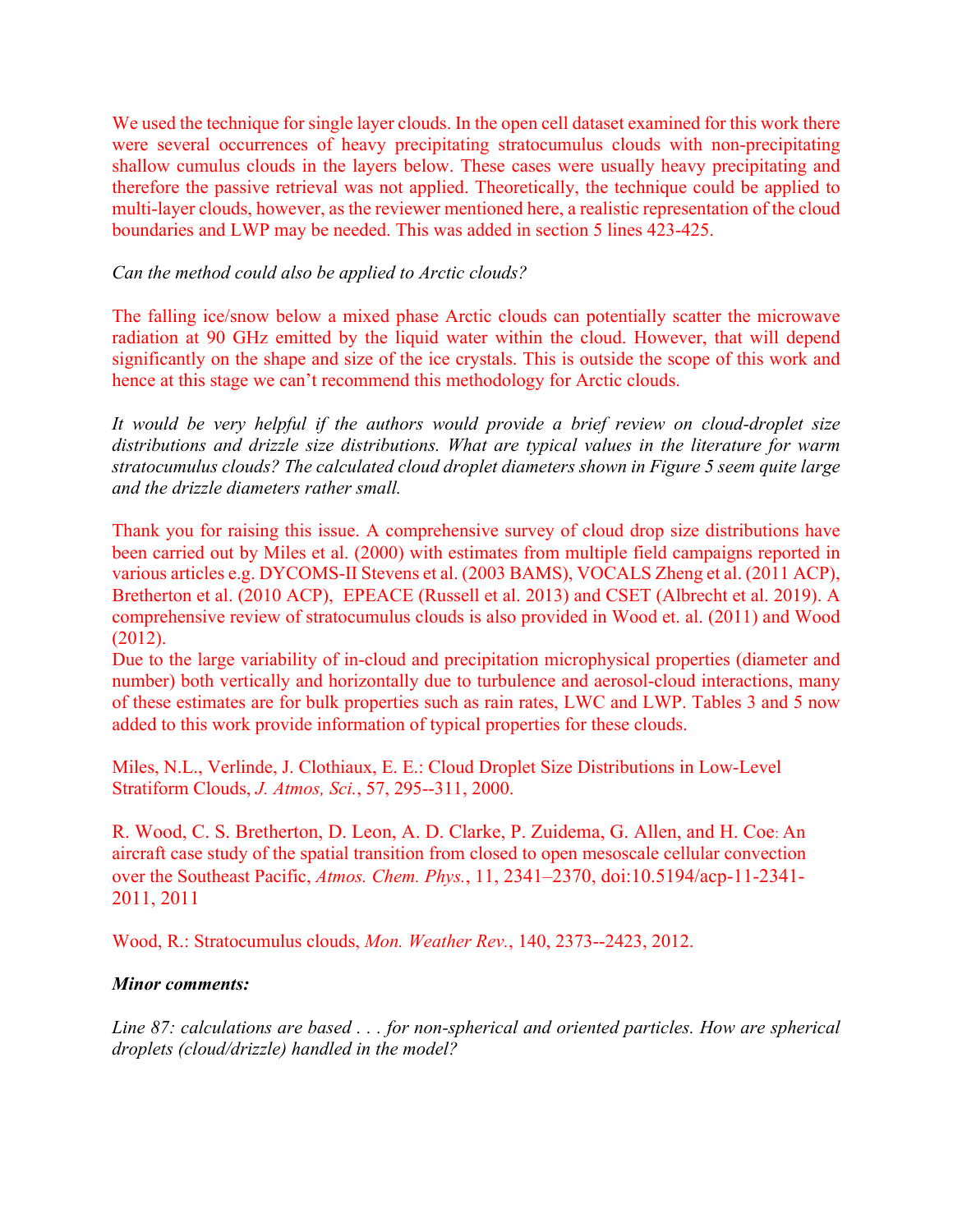We used the technique for single layer clouds. In the open cell dataset examined for this work there were several occurrences of heavy precipitating stratocumulus clouds with non-precipitating shallow cumulus clouds in the layers below. These cases were usually heavy precipitating and therefore the passive retrieval was not applied. Theoretically, the technique could be applied to multi-layer clouds, however, as the reviewer mentioned here, a realistic representation of the cloud boundaries and LWP may be needed. This was added in section 5 lines 423-425.

## *Can the method could also be applied to Arctic clouds?*

The falling ice/snow below a mixed phase Arctic clouds can potentially scatter the microwave radiation at 90 GHz emitted by the liquid water within the cloud. However, that will depend significantly on the shape and size of the ice crystals. This is outside the scope of this work and hence at this stage we can't recommend this methodology for Arctic clouds.

*It would be very helpful if the authors would provide a brief review on cloud-droplet size distributions and drizzle size distributions. What are typical values in the literature for warm stratocumulus clouds? The calculated cloud droplet diameters shown in Figure 5 seem quite large and the drizzle diameters rather small.* 

Thank you for raising this issue. A comprehensive survey of cloud drop size distributions have been carried out by Miles et al. (2000) with estimates from multiple field campaigns reported in various articles e.g. DYCOMS-II Stevens et al. (2003 BAMS), VOCALS Zheng et al. (2011 ACP), Bretherton et al. (2010 ACP), EPEACE (Russell et al. 2013) and CSET (Albrecht et al. 2019). A comprehensive review of stratocumulus clouds is also provided in Wood et. al. (2011) and Wood (2012).

Due to the large variability of in-cloud and precipitation microphysical properties (diameter and number) both vertically and horizontally due to turbulence and aerosol-cloud interactions, many of these estimates are for bulk properties such as rain rates, LWC and LWP. Tables 3 and 5 now added to this work provide information of typical properties for these clouds.

Miles, N.L., Verlinde, J. Clothiaux, E. E.: Cloud Droplet Size Distributions in Low-Level Stratiform Clouds, *J. Atmos, Sci.*, 57, 295--311, 2000.

R. Wood, C. S. Bretherton, D. Leon, A. D. Clarke, P. Zuidema, G. Allen, and H. Coe: An aircraft case study of the spatial transition from closed to open mesoscale cellular convection over the Southeast Pacific, *Atmos. Chem. Phys.*, 11, 2341–2370, doi:10.5194/acp-11-2341- 2011, 2011

Wood, R.: Stratocumulus clouds, *Mon. Weather Rev.*, 140, 2373--2423, 2012.

## *Minor comments:*

*Line 87: calculations are based . . . for non-spherical and oriented particles. How are spherical droplets (cloud/drizzle) handled in the model?*